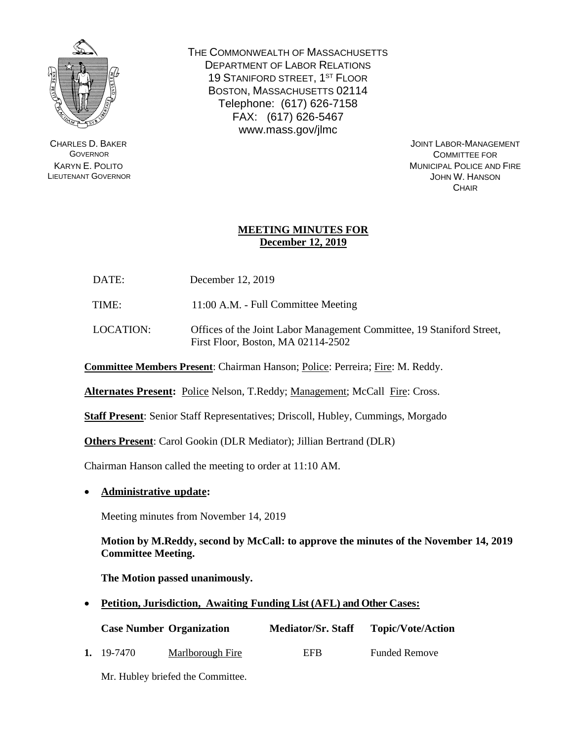

CHARLES D. BAKER **GOVERNOR** KARYN E. POLITO LIEUTENANT GOVERNOR THE COMMONWEALTH OF MASSACHUSETTS DEPARTMENT OF LABOR RELATIONS 19 STANIFORD STREET, 1<sup>ST</sup> FLOOR BOSTON, MASSACHUSETTS 02114 Telephone: (617) 626-7158 FAX: (617) 626-5467 www.mass.gov/jlmc

> JOINT LABOR-MANAGEMENT COMMITTEE FOR MUNICIPAL POLICE AND FIRE JOHN W. HANSON **CHAIR**

## **MEETING MINUTES FOR December 12, 2019**

DATE: December 12, 2019

TIME: 11:00 A.M. - Full Committee Meeting

LOCATION: Offices of the Joint Labor Management Committee, 19 Staniford Street, First Floor, Boston, MA 02114-2502

**Committee Members Present**: Chairman Hanson; Police: Perreira; Fire: M. Reddy.

**Alternates Present:** Police Nelson, T.Reddy; Management; McCall Fire: Cross.

**Staff Present**: Senior Staff Representatives; Driscoll, Hubley, Cummings, Morgado

**Others Present**: Carol Gookin (DLR Mediator); Jillian Bertrand (DLR)

Chairman Hanson called the meeting to order at 11:10 AM.

• **Administrative update:**

Meeting minutes from November 14, 2019

**Motion by M.Reddy, second by McCall: to approve the minutes of the November 14, 2019 Committee Meeting.**

**The Motion passed unanimously.**

• **Petition, Jurisdiction, Awaiting Funding List (AFL) and Other Cases:**

|            | <b>Case Number Organization</b> | <b>Mediator/Sr. Staff</b> | <b>Topic/Vote/Action</b> |
|------------|---------------------------------|---------------------------|--------------------------|
| 1. 19-7470 | Marlborough Fire                | EFB                       | <b>Funded Remove</b>     |

Mr. Hubley briefed the Committee.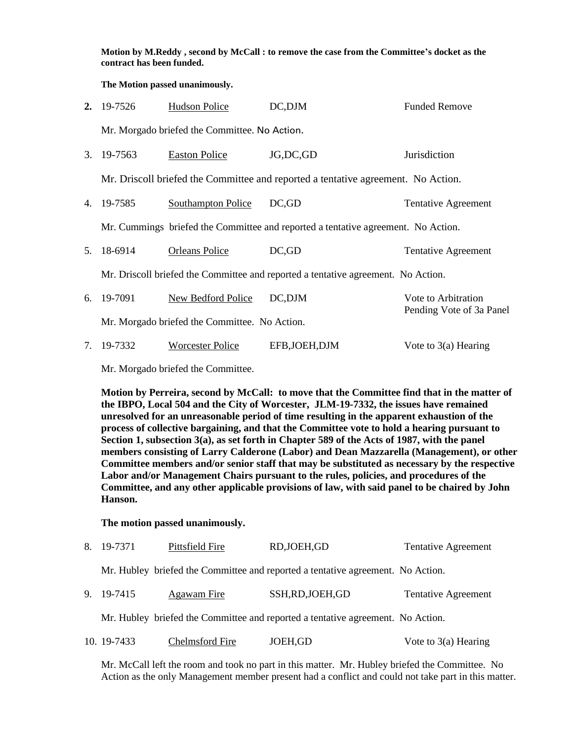**Motion by M.Reddy , second by McCall : to remove the case from the Committee's docket as the contract has been funded.**

**The Motion passed unanimously.**

|    | 2. $19-7526$ | <b>Hudson Police</b>                          | DC,DJM                                                                            | <b>Funded Remove</b>                            |
|----|--------------|-----------------------------------------------|-----------------------------------------------------------------------------------|-------------------------------------------------|
|    |              | Mr. Morgado briefed the Committee. No Action. |                                                                                   |                                                 |
| 3. | 19-7563      | <b>Easton Police</b>                          | JG, DC, GD                                                                        | Jurisdiction                                    |
|    |              |                                               | Mr. Driscoll briefed the Committee and reported a tentative agreement. No Action. |                                                 |
| 4. | 19-7585      | <b>Southampton Police</b>                     | DC, GD                                                                            | Tentative Agreement                             |
|    |              |                                               | Mr. Cummings briefed the Committee and reported a tentative agreement. No Action. |                                                 |
| 5. | 18-6914      | <b>Orleans Police</b>                         | DC,GD                                                                             | Tentative Agreement                             |
|    |              |                                               | Mr. Driscoll briefed the Committee and reported a tentative agreement. No Action. |                                                 |
| 6. | 19-7091      | New Bedford Police                            | DC, DJM                                                                           | Vote to Arbitration<br>Pending Vote of 3a Panel |
|    |              | Mr. Morgado briefed the Committee. No Action. |                                                                                   |                                                 |
| 7. | 19-7332      | <b>Worcester Police</b>                       | EFB, JOEH, DJM                                                                    | Vote to $3(a)$ Hearing                          |

Mr. Morgado briefed the Committee.

**Motion by Perreira, second by McCall: to move that the Committee find that in the matter of the IBPO, Local 504 and the City of Worcester, JLM-19-7332, the issues have remained unresolved for an unreasonable period of time resulting in the apparent exhaustion of the process of collective bargaining, and that the Committee vote to hold a hearing pursuant to Section 1, subsection 3(a), as set forth in Chapter 589 of the Acts of 1987, with the panel members consisting of Larry Calderone (Labor) and Dean Mazzarella (Management), or other Committee members and/or senior staff that may be substituted as necessary by the respective Labor and/or Management Chairs pursuant to the rules, policies, and procedures of the Committee, and any other applicable provisions of law, with said panel to be chaired by John Hanson.**

**The motion passed unanimously.**

|  | 8. 19-7371 | Pittsfield Fire | RD, JOEH, GD | <b>Tentative Agreement</b> |
|--|------------|-----------------|--------------|----------------------------|
|--|------------|-----------------|--------------|----------------------------|

Mr. Hubley briefed the Committee and reported a tentative agreement. No Action.

9. 19-7415 Agawam Fire SSH,RD,JOEH,GD Tentative Agreement

Mr. Hubley briefed the Committee and reported a tentative agreement. No Action.

10. 19-7433 Chelmsford Fire JOEH,GD Vote to 3(a) Hearing

Mr. McCall left the room and took no part in this matter. Mr. Hubley briefed the Committee. No Action as the only Management member present had a conflict and could not take part in this matter.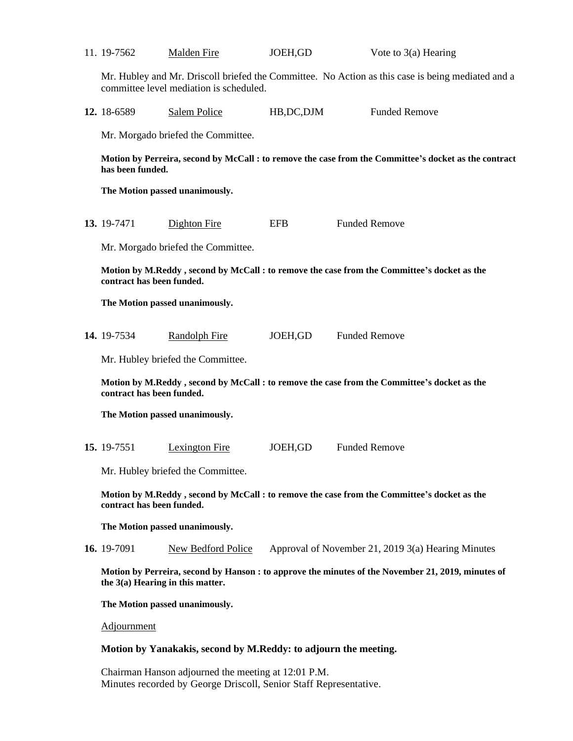| 11. 19-7562                                                                                                                              | <b>Malden Fire</b>                      | JOEH, GD    | Vote to $3(a)$ Hearing                                                                            |  |
|------------------------------------------------------------------------------------------------------------------------------------------|-----------------------------------------|-------------|---------------------------------------------------------------------------------------------------|--|
|                                                                                                                                          | committee level mediation is scheduled. |             | Mr. Hubley and Mr. Driscoll briefed the Committee. No Action as this case is being mediated and a |  |
| 12. 18-6589                                                                                                                              | Salem Police                            | HB, DC, DJM | <b>Funded Remove</b>                                                                              |  |
|                                                                                                                                          | Mr. Morgado briefed the Committee.      |             |                                                                                                   |  |
| Motion by Perreira, second by McCall : to remove the case from the Committee's docket as the contract<br>has been funded.                |                                         |             |                                                                                                   |  |
|                                                                                                                                          | The Motion passed unanimously.          |             |                                                                                                   |  |
| 13. 19-7471                                                                                                                              | <b>Dighton Fire</b>                     | <b>EFB</b>  | <b>Funded Remove</b>                                                                              |  |
|                                                                                                                                          | Mr. Morgado briefed the Committee.      |             |                                                                                                   |  |
| Motion by M.Reddy, second by McCall : to remove the case from the Committee's docket as the<br>contract has been funded.                 |                                         |             |                                                                                                   |  |
|                                                                                                                                          | The Motion passed unanimously.          |             |                                                                                                   |  |
| 14. 19-7534                                                                                                                              | <b>Randolph Fire</b>                    | JOEH, GD    | <b>Funded Remove</b>                                                                              |  |
|                                                                                                                                          | Mr. Hubley briefed the Committee.       |             |                                                                                                   |  |
| Motion by M.Reddy, second by McCall : to remove the case from the Committee's docket as the<br>contract has been funded.                 |                                         |             |                                                                                                   |  |
|                                                                                                                                          | The Motion passed unanimously.          |             |                                                                                                   |  |
| 15. 19-7551                                                                                                                              | <b>Lexington Fire</b>                   | JOEH, GD    | <b>Funded Remove</b>                                                                              |  |
|                                                                                                                                          | Mr. Hubley briefed the Committee.       |             |                                                                                                   |  |
| Motion by M.Reddy, second by McCall : to remove the case from the Committee's docket as the<br>contract has been funded.                 |                                         |             |                                                                                                   |  |
|                                                                                                                                          | The Motion passed unanimously.          |             |                                                                                                   |  |
| 16. 19-7091                                                                                                                              | <b>New Bedford Police</b>               |             | Approval of November 21, 2019 3(a) Hearing Minutes                                                |  |
| Motion by Perreira, second by Hanson : to approve the minutes of the November 21, 2019, minutes of<br>the $3(a)$ Hearing in this matter. |                                         |             |                                                                                                   |  |
| The Motion passed unanimously.                                                                                                           |                                         |             |                                                                                                   |  |
| Adjournment                                                                                                                              |                                         |             |                                                                                                   |  |

## **Motion by Yanakakis, second by M.Reddy: to adjourn the meeting.**

Chairman Hanson adjourned the meeting at 12:01 P.M. Minutes recorded by George Driscoll, Senior Staff Representative.